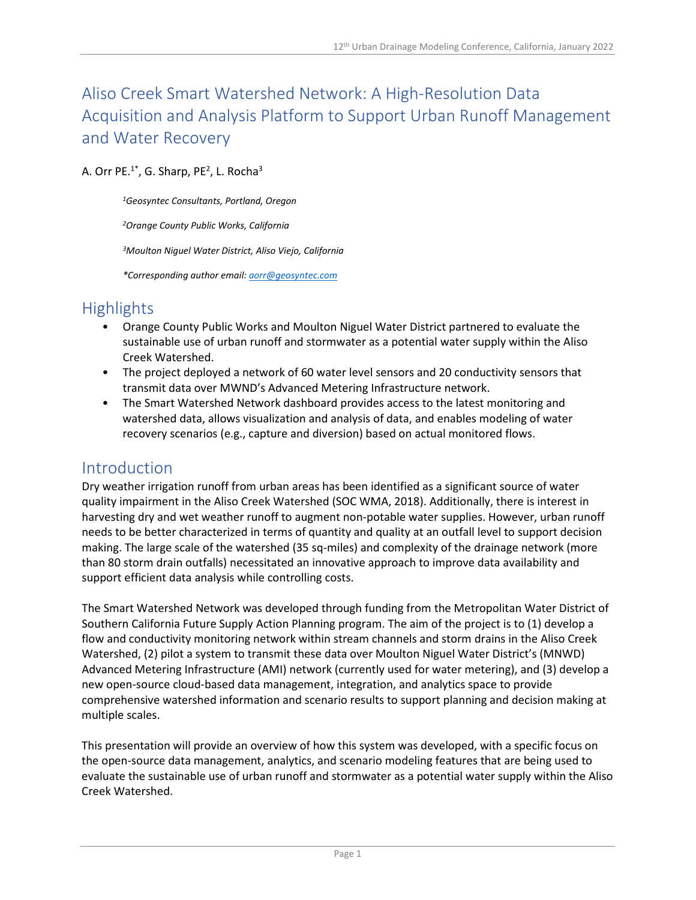# Aliso Creek Smart Watershed Network: A High-Resolution Data Acquisition and Analysis Platform to Support Urban Runoff Management and Water Recovery

#### A. Orr PE. $1^*$ , G. Sharp, PE<sup>2</sup>, L. Rocha<sup>3</sup>

*1Geosyntec Consultants, Portland, Oregon*

*2Orange County Public Works, California*

*3Moulton Niguel Water District, Aliso Viejo, California*

*\*Corresponding author email: [aorr@geosyntec.com](mailto:aorr@geosyntec.com)*

## Highlights

- Orange County Public Works and Moulton Niguel Water District partnered to evaluate the sustainable use of urban runoff and stormwater as a potential water supply within the Aliso Creek Watershed.
- The project deployed a network of 60 water level sensors and 20 conductivity sensors that transmit data over MWND's Advanced Metering Infrastructure network.
- The Smart Watershed Network dashboard provides access to the latest monitoring and watershed data, allows visualization and analysis of data, and enables modeling of water recovery scenarios (e.g., capture and diversion) based on actual monitored flows.

### Introduction

Dry weather irrigation runoff from urban areas has been identified as a significant source of water quality impairment in the Aliso Creek Watershed (SOC WMA, 2018). Additionally, there is interest in harvesting dry and wet weather runoff to augment non-potable water supplies. However, urban runoff needs to be better characterized in terms of quantity and quality at an outfall level to support decision making. The large scale of the watershed (35 sq-miles) and complexity of the drainage network (more than 80 storm drain outfalls) necessitated an innovative approach to improve data availability and support efficient data analysis while controlling costs.

The Smart Watershed Network was developed through funding from the Metropolitan Water District of Southern California Future Supply Action Planning program. The aim of the project is to (1) develop a flow and conductivity monitoring network within stream channels and storm drains in the Aliso Creek Watershed, (2) pilot a system to transmit these data over Moulton Niguel Water District's (MNWD) Advanced Metering Infrastructure (AMI) network (currently used for water metering), and (3) develop a new open-source cloud-based data management, integration, and analytics space to provide comprehensive watershed information and scenario results to support planning and decision making at multiple scales.

This presentation will provide an overview of how this system was developed, with a specific focus on the open-source data management, analytics, and scenario modeling features that are being used to evaluate the sustainable use of urban runoff and stormwater as a potential water supply within the Aliso Creek Watershed.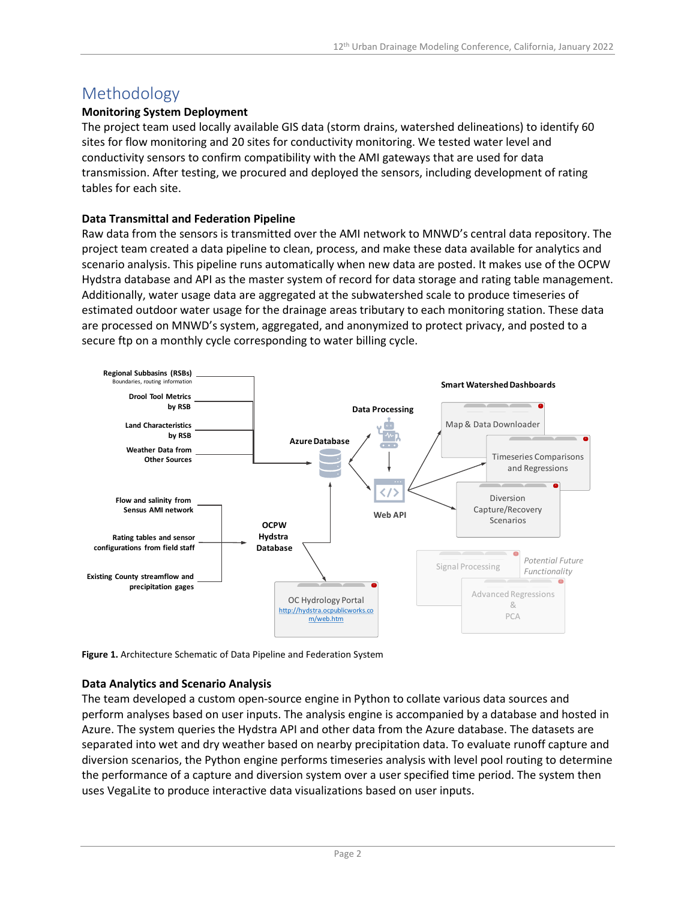## Methodology

#### **Monitoring System Deployment**

The project team used locally available GIS data (storm drains, watershed delineations) to identify 60 sites for flow monitoring and 20 sites for conductivity monitoring. We tested water level and conductivity sensors to confirm compatibility with the AMI gateways that are used for data transmission. After testing, we procured and deployed the sensors, including development of rating tables for each site.

#### **Data Transmittal and Federation Pipeline**

Raw data from the sensors is transmitted over the AMI network to MNWD's central data repository. The project team created a data pipeline to clean, process, and make these data available for analytics and scenario analysis. This pipeline runs automatically when new data are posted. It makes use of the OCPW Hydstra database and API as the master system of record for data storage and rating table management. Additionally, water usage data are aggregated at the subwatershed scale to produce timeseries of estimated outdoor water usage for the drainage areas tributary to each monitoring station. These data are processed on MNWD's system, aggregated, and anonymized to protect privacy, and posted to a secure ftp on a monthly cycle corresponding to water billing cycle.



**Figure 1.** Architecture Schematic of Data Pipeline and Federation System

#### **Data Analytics and Scenario Analysis**

The team developed a custom open-source engine in Python to collate various data sources and perform analyses based on user inputs. The analysis engine is accompanied by a database and hosted in Azure. The system queries the Hydstra API and other data from the Azure database. The datasets are separated into wet and dry weather based on nearby precipitation data. To evaluate runoff capture and diversion scenarios, the Python engine performs timeseries analysis with level pool routing to determine the performance of a capture and diversion system over a user specified time period. The system then uses VegaLite to produce interactive data visualizations based on user inputs.